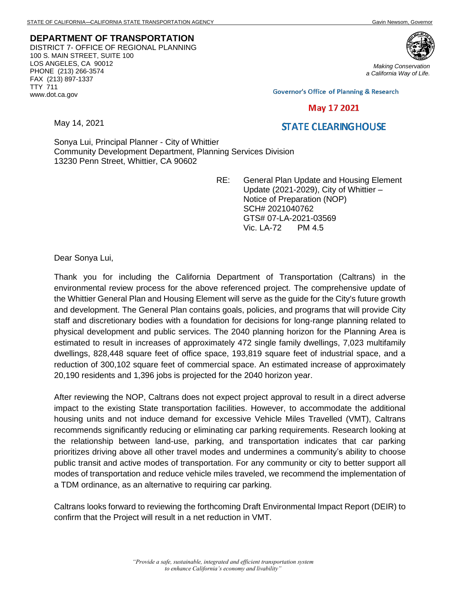**DEPARTMENT OF TRANSPORTATION** DISTRICT 7- OFFICE OF REGIONAL PLANNING 100 S. MAIN STREET, SUITE 100 LOS ANGELES, CA 90012 PHONE (213) 266-3574 FAX (213) 897-1337 TTY 711 www.dot.ca.gov



*Making Conservation a California Way of Life.*

**Governor's Office of Planning & Research** 

## May 17 2021

## **STATE CLEARING HOUSE**

Sonya Lui, Principal Planner - City of Whittier Community Development Department, Planning Services Division 13230 Penn Street, Whittier, CA 90602

> RE: General Plan Update and Housing Element Update (2021-2029), City of Whittier – Notice of Preparation (NOP) SCH# 2021040762 GTS# 07-LA-2021-03569 Vic. LA-72 PM 4.5

Dear Sonya Lui,

May 14, 2021

Thank you for including the California Department of Transportation (Caltrans) in the environmental review process for the above referenced project. The comprehensive update of the Whittier General Plan and Housing Element will serve as the guide for the City's future growth and development. The General Plan contains goals, policies, and programs that will provide City staff and discretionary bodies with a foundation for decisions for long-range planning related to physical development and public services. The 2040 planning horizon for the Planning Area is estimated to result in increases of approximately 472 single family dwellings, 7,023 multifamily dwellings, 828,448 square feet of office space, 193,819 square feet of industrial space, and a reduction of 300,102 square feet of commercial space. An estimated increase of approximately 20,190 residents and 1,396 jobs is projected for the 2040 horizon year.

After reviewing the NOP, Caltrans does not expect project approval to result in a direct adverse impact to the existing State transportation facilities. However, to accommodate the additional housing units and not induce demand for excessive Vehicle Miles Travelled (VMT), Caltrans recommends significantly reducing or eliminating car parking requirements. Research looking at the relationship between land-use, parking, and transportation indicates that car parking prioritizes driving above all other travel modes and undermines a community's ability to choose public transit and active modes of transportation. For any community or city to better support all modes of transportation and reduce vehicle miles traveled, we recommend the implementation of a TDM ordinance, as an alternative to requiring car parking.

Caltrans looks forward to reviewing the forthcoming Draft Environmental Impact Report (DEIR) to confirm that the Project will result in a net reduction in VMT.